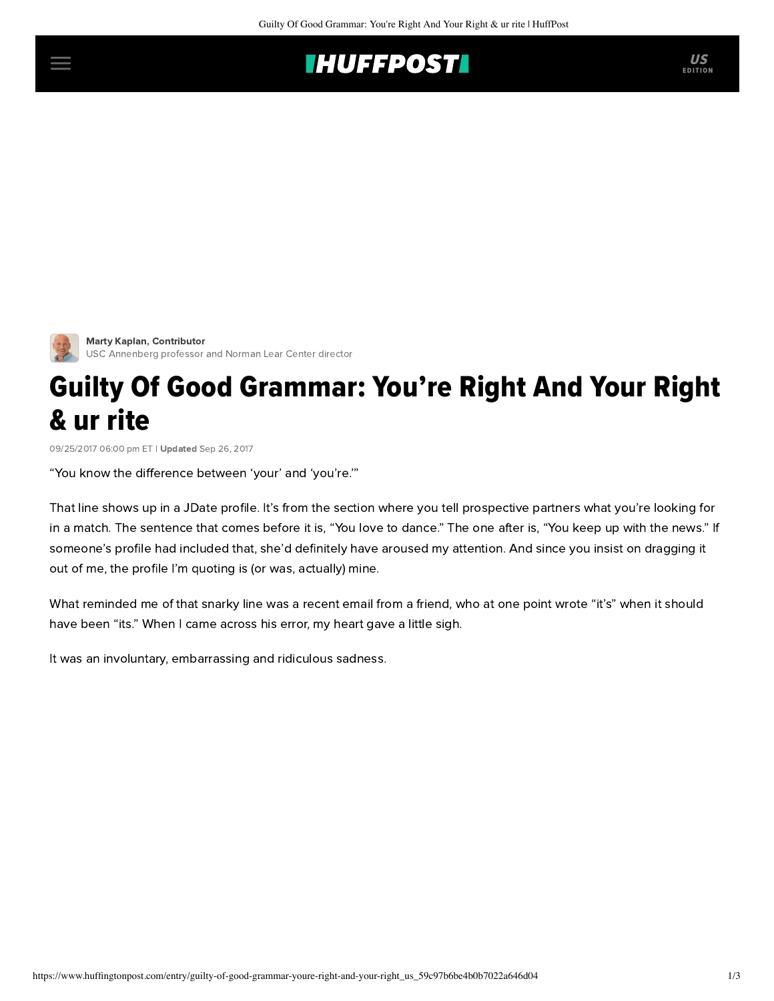## **INUFFPOSTI** US



[Marty Kaplan](https://www.huffingtonpost.com/author/marty-kaplan), Contributor USC Annenberg professor and Norman Lear Center director

## Guilty Of Good Grammar: You're Right And Your Right & ur rite

09/25/2017 06:00 pm ET | Updated Sep 26, 2017

"You know the difference between 'your' and 'you're.'"

That line shows up in a JDate profile. It's from the section where you tell prospective partners what you're looking for in a match. The sentence that comes before it is, "You love to dance." The one after is, "You keep up with the news." If someone's profile had included that, she'd definitely have aroused my attention. And since you insist on dragging it out of me, the profile I'm quoting is (or was, actually) mine.

What reminded me of that snarky line was a recent email from a friend, who at one point wrote "it's" when it should have been "its." When I came across his error, my heart gave a little sigh.

It was an involuntary, embarrassing and ridiculous sadness.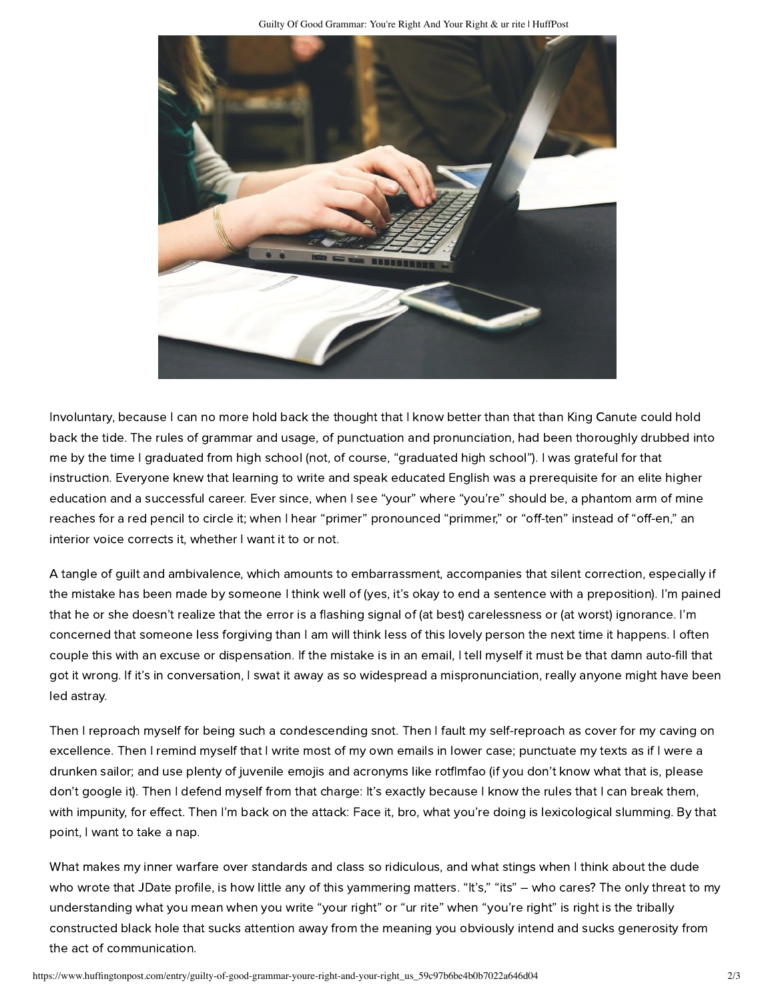

Involuntary, because I can no more hold back the thought that I know better than that than King Canute could hold back the tide. The rules of grammar and usage, of punctuation and pronunciation, had been thoroughly drubbed into me by the time I graduated from high school (not, of course, "graduated high school"). I was grateful for that instruction. Everyone knew that learning to write and speak educated English was a prerequisite for an elite higher education and a successful career. Ever since, when I see "your" where "you're" should be, a phantom arm of mine reaches for a red pencil to circle it; when I hear "primer" pronounced "primmer," or "off-ten" instead of "off-en," an interior voice corrects it, whether I want it to or not.

A tangle of guilt and ambivalence, which amounts to embarrassment, accompanies that silent correction, especially if the mistake has been made by someone I think well of (yes, it's okay to end a sentence with a preposition). I'm pained that he or she doesn't realize that the error is a flashing signal of (at best) carelessness or (at worst) ignorance. I'm concerned that someone less forgiving than I am will think less of this lovely person the next time it happens. I often couple this with an excuse or dispensation. If the mistake is in an email, I tell myself it must be that damn auto-fill that got it wrong. If it's in conversation, I swat it away as so widespread a mispronunciation, really anyone might have been led astray.

Then I reproach myself for being such a condescending snot. Then I fault my self-reproach as cover for my caving on excellence. Then I remind myself that I write most of my own emails in lower case; punctuate my texts as if I were a drunken sailor; and use plenty of juvenile emojis and acronyms like rotflmfao (if you don't know what that is, please don't google it). Then I defend myself from that charge: It's exactly because I know the rules that I can break them, with impunity, for effect. Then I'm back on the attack: Face it, bro, what you're doing is lexicological slumming. By that point, I want to take a nap.

What makes my inner warfare over standards and class so ridiculous, and what stings when I think about the dude who wrote that JDate profile, is how little any of this yammering matters. "It's," "its" – who cares? The only threat to my understanding what you mean when you write "your right" or "ur rite" when "you're right" is right is the tribally constructed black hole that sucks attention away from the meaning you obviously intend and sucks generosity from the act of communication.